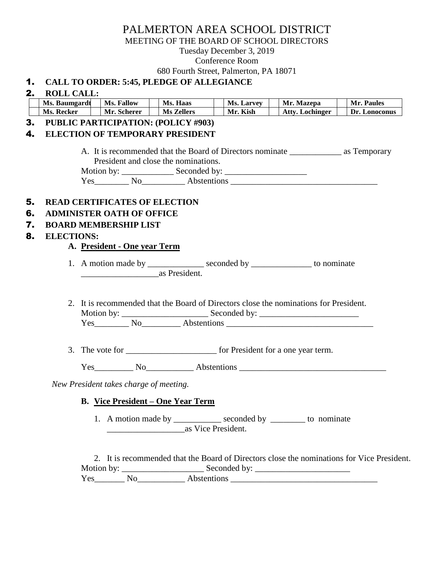# PALMERTON AREA SCHOOL DISTRICT

MEETING OF THE BOARD OF SCHOOL DIRECTORS

Tuesday December 3, 2019

Conference Room

680 Fourth Street, Palmerton, PA 18071

# 1. **CALL TO ORDER: 5:45, PLEDGE OF ALLEGIANCE**

|    | Ms. Baumgardt     |  | <b>Ms. Fallow</b>                      | Ms. Haas                                 | Ms. Larvey | Mr. Mazepa                                                                                         | Mr. Paules    |
|----|-------------------|--|----------------------------------------|------------------------------------------|------------|----------------------------------------------------------------------------------------------------|---------------|
|    | Ms. Recker        |  | Mr. Scherer                            | <b>Ms Zellers</b>                        | Mr. Kish   | <b>Atty. Lochinger</b>                                                                             | Dr. Lonoconus |
| 3. |                   |  |                                        | PUBLIC PARTICIPATION: (POLICY #903)      |            |                                                                                                    |               |
| 4. |                   |  |                                        | <b>ELECTION OF TEMPORARY PRESIDENT</b>   |            |                                                                                                    |               |
|    |                   |  |                                        |                                          |            |                                                                                                    |               |
|    |                   |  |                                        |                                          |            | A. It is recommended that the Board of Directors nominate _______________________ as Temporary     |               |
|    |                   |  |                                        | President and close the nominations.     |            |                                                                                                    |               |
|    |                   |  |                                        |                                          |            |                                                                                                    |               |
|    |                   |  |                                        |                                          |            |                                                                                                    |               |
|    |                   |  |                                        |                                          |            |                                                                                                    |               |
| 5. |                   |  |                                        | <b>READ CERTIFICATES OF ELECTION</b>     |            |                                                                                                    |               |
| 6. |                   |  | <b>ADMINISTER OATH OF OFFICE</b>       |                                          |            |                                                                                                    |               |
| 7. |                   |  | <b>BOARD MEMBERSHIP LIST</b>           |                                          |            |                                                                                                    |               |
| 8. | <b>ELECTIONS:</b> |  |                                        |                                          |            |                                                                                                    |               |
|    |                   |  | A. President - One year Term           |                                          |            |                                                                                                    |               |
|    |                   |  |                                        |                                          |            | 1. A motion made by _______________ seconded by _______________ to nominate                        |               |
|    |                   |  |                                        |                                          |            |                                                                                                    |               |
|    |                   |  |                                        |                                          |            |                                                                                                    |               |
|    |                   |  |                                        | as President.                            |            |                                                                                                    |               |
|    |                   |  |                                        |                                          |            |                                                                                                    |               |
|    |                   |  |                                        |                                          |            | 2. It is recommended that the Board of Directors close the nominations for President.              |               |
|    |                   |  |                                        |                                          |            | Motion by: $\_\_\_\_\_\_\_\_\_\$ Seconded by: $\_\_\_\_\_\_\_\_\_\_\_\_\_\_\_\_\_\_\_\_\_\_\_\_\_$ |               |
|    |                   |  |                                        |                                          |            |                                                                                                    |               |
|    |                   |  |                                        |                                          |            |                                                                                                    |               |
|    |                   |  |                                        |                                          |            |                                                                                                    |               |
|    |                   |  |                                        |                                          |            |                                                                                                    |               |
|    |                   |  |                                        |                                          |            | Yes No Abstentions No Abstentions                                                                  |               |
|    |                   |  |                                        |                                          |            |                                                                                                    |               |
|    |                   |  | New President takes charge of meeting. |                                          |            |                                                                                                    |               |
|    |                   |  |                                        | <b>B.</b> Vice President – One Year Term |            |                                                                                                    |               |
|    |                   |  |                                        |                                          |            |                                                                                                    |               |
|    |                   |  |                                        |                                          |            | 1. A motion made by ____________ seconded by ________ to nominate                                  |               |
|    |                   |  |                                        | as Vice President.                       |            |                                                                                                    |               |
|    |                   |  |                                        |                                          |            |                                                                                                    |               |
|    |                   |  |                                        |                                          |            |                                                                                                    |               |
|    |                   |  |                                        |                                          |            | 2. It is recommended that the Board of Directors close the nominations for Vice President.         |               |
|    |                   |  |                                        |                                          |            | $Yes$ No Abstentions $S =$                                                                         |               |